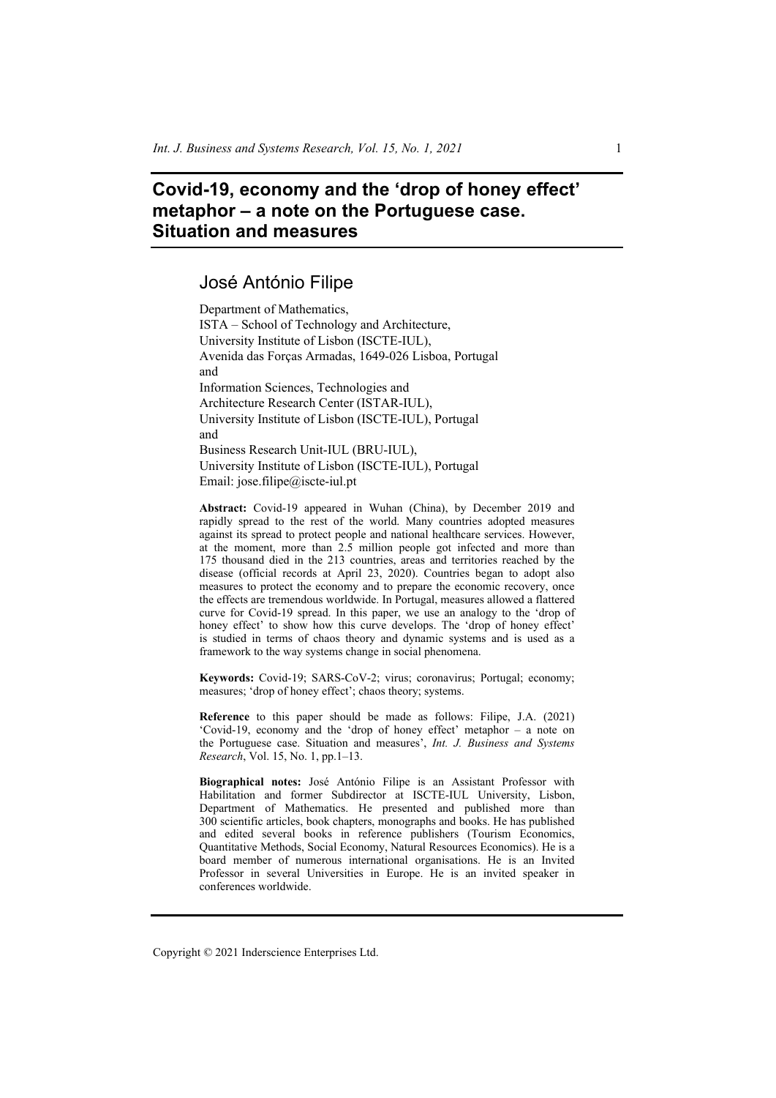# **Covid-19, economy and the 'drop of honey effect' metaphor – a note on the Portuguese case. Situation and measures**

## José António Filipe

Department of Mathematics, ISTA – School of Technology and Architecture, University Institute of Lisbon (ISCTE-IUL), Avenida das Forças Armadas, 1649-026 Lisboa, Portugal and Information Sciences, Technologies and Architecture Research Center (ISTAR-IUL), University Institute of Lisbon (ISCTE-IUL), Portugal and Business Research Unit-IUL (BRU-IUL), University Institute of Lisbon (ISCTE-IUL), Portugal Email: jose.filipe@iscte-iul.pt

**Abstract:** Covid-19 appeared in Wuhan (China), by December 2019 and rapidly spread to the rest of the world. Many countries adopted measures against its spread to protect people and national healthcare services. However, at the moment, more than 2.5 million people got infected and more than 175 thousand died in the 213 countries, areas and territories reached by the disease (official records at April 23, 2020). Countries began to adopt also measures to protect the economy and to prepare the economic recovery, once the effects are tremendous worldwide. In Portugal, measures allowed a flattered curve for Covid-19 spread. In this paper, we use an analogy to the 'drop of honey effect' to show how this curve develops. The 'drop of honey effect' is studied in terms of chaos theory and dynamic systems and is used as a framework to the way systems change in social phenomena.

**Keywords:** Covid-19; SARS-CoV-2; virus; coronavirus; Portugal; economy; measures; 'drop of honey effect'; chaos theory; systems.

**Reference** to this paper should be made as follows: Filipe, J.A. (2021) 'Covid-19, economy and the 'drop of honey effect' metaphor – a note on the Portuguese case. Situation and measures', *Int. J. Business and Systems Research*, Vol. 15, No. 1, pp.1–13.

**Biographical notes:** José António Filipe is an Assistant Professor with Habilitation and former Subdirector at ISCTE-IUL University, Lisbon, Department of Mathematics. He presented and published more than 300 scientific articles, book chapters, monographs and books. He has published and edited several books in reference publishers (Tourism Economics, Quantitative Methods, Social Economy, Natural Resources Economics). He is a board member of numerous international organisations. He is an Invited Professor in several Universities in Europe. He is an invited speaker in conferences worldwide.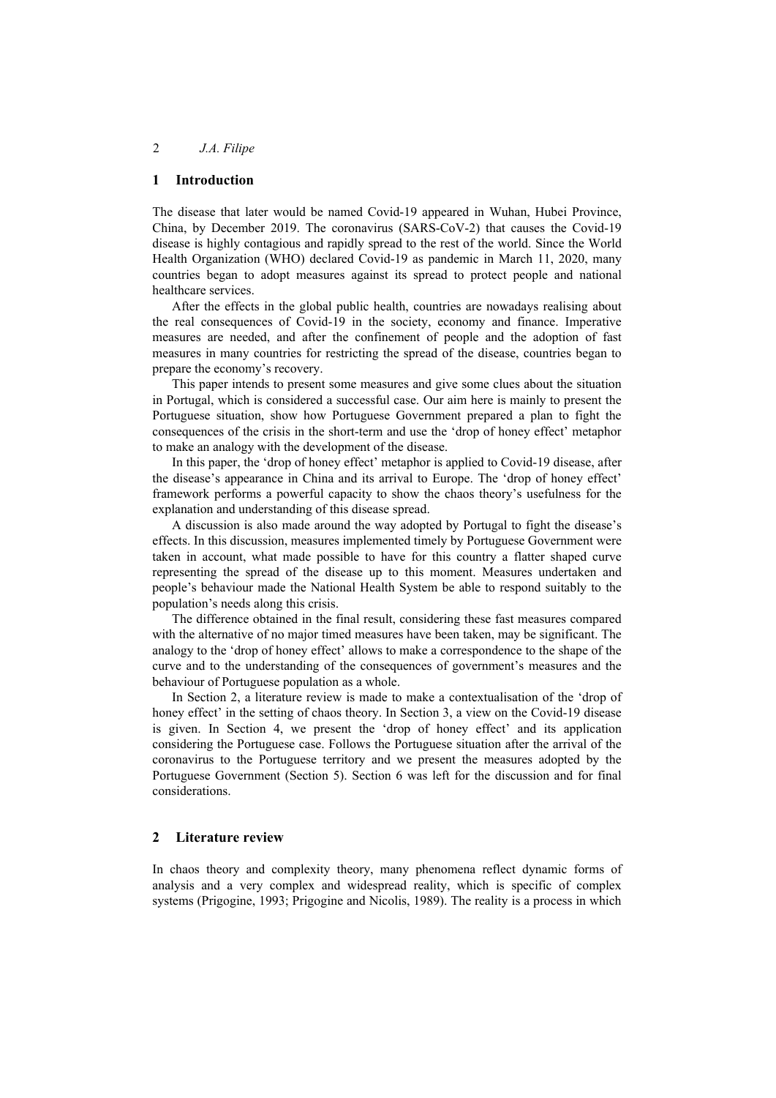## **1 Introduction**

The disease that later would be named Covid-19 appeared in Wuhan, Hubei Province, China, by December 2019. The coronavirus (SARS-CoV-2) that causes the Covid-19 disease is highly contagious and rapidly spread to the rest of the world. Since the World Health Organization (WHO) declared Covid-19 as pandemic in March 11, 2020, many countries began to adopt measures against its spread to protect people and national healthcare services.

After the effects in the global public health, countries are nowadays realising about the real consequences of Covid-19 in the society, economy and finance. Imperative measures are needed, and after the confinement of people and the adoption of fast measures in many countries for restricting the spread of the disease, countries began to prepare the economy's recovery.

This paper intends to present some measures and give some clues about the situation in Portugal, which is considered a successful case. Our aim here is mainly to present the Portuguese situation, show how Portuguese Government prepared a plan to fight the consequences of the crisis in the short-term and use the 'drop of honey effect' metaphor to make an analogy with the development of the disease.

In this paper, the 'drop of honey effect' metaphor is applied to Covid-19 disease, after the disease's appearance in China and its arrival to Europe. The 'drop of honey effect' framework performs a powerful capacity to show the chaos theory's usefulness for the explanation and understanding of this disease spread.

A discussion is also made around the way adopted by Portugal to fight the disease's effects. In this discussion, measures implemented timely by Portuguese Government were taken in account, what made possible to have for this country a flatter shaped curve representing the spread of the disease up to this moment. Measures undertaken and people's behaviour made the National Health System be able to respond suitably to the population's needs along this crisis.

The difference obtained in the final result, considering these fast measures compared with the alternative of no major timed measures have been taken, may be significant. The analogy to the 'drop of honey effect' allows to make a correspondence to the shape of the curve and to the understanding of the consequences of government's measures and the behaviour of Portuguese population as a whole.

In Section 2, a literature review is made to make a contextualisation of the 'drop of honey effect' in the setting of chaos theory. In Section 3, a view on the Covid-19 disease is given. In Section 4, we present the 'drop of honey effect' and its application considering the Portuguese case. Follows the Portuguese situation after the arrival of the coronavirus to the Portuguese territory and we present the measures adopted by the Portuguese Government (Section 5). Section 6 was left for the discussion and for final considerations.

### **2 Literature review**

In chaos theory and complexity theory, many phenomena reflect dynamic forms of analysis and a very complex and widespread reality, which is specific of complex systems (Prigogine, 1993; Prigogine and Nicolis, 1989). The reality is a process in which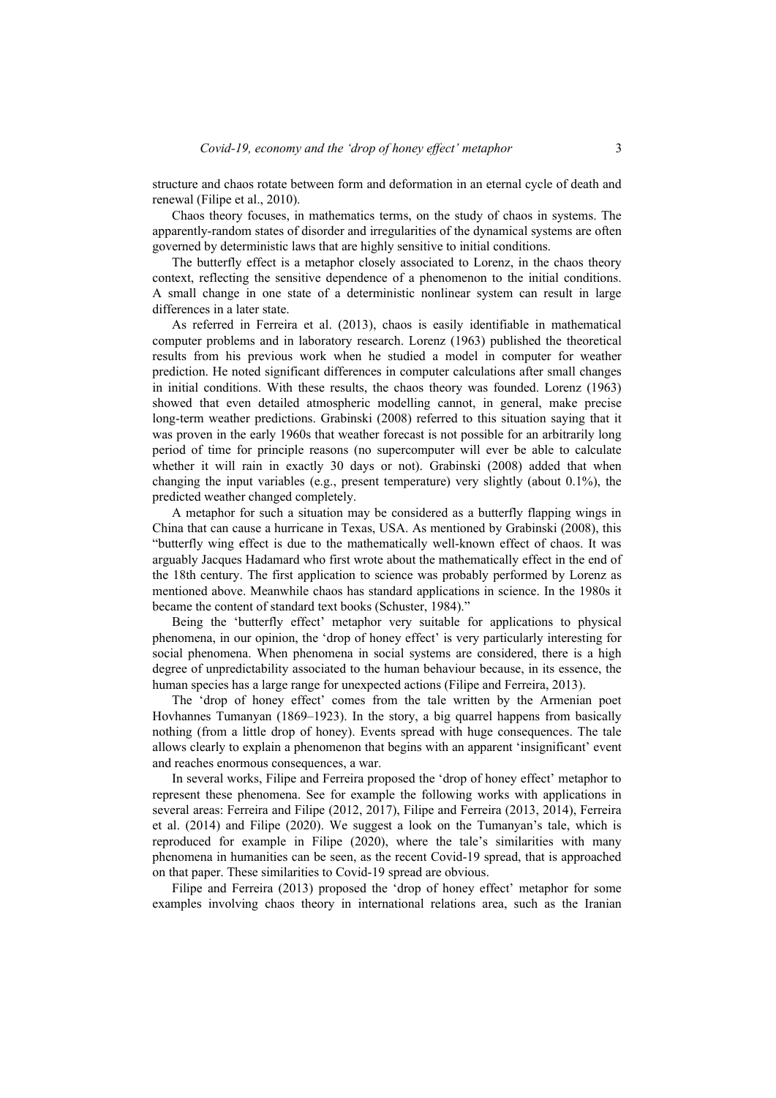Chaos theory focuses, in mathematics terms, on the study of chaos in systems. The apparently-random states of disorder and irregularities of the dynamical systems are often governed by deterministic laws that are highly sensitive to initial conditions.

The butterfly effect is a metaphor closely associated to Lorenz, in the chaos theory context, reflecting the sensitive dependence of a phenomenon to the initial conditions. A small change in one state of a deterministic nonlinear system can result in large differences in a later state.

As referred in Ferreira et al. (2013), chaos is easily identifiable in mathematical computer problems and in laboratory research. Lorenz (1963) published the theoretical results from his previous work when he studied a model in computer for weather prediction. He noted significant differences in computer calculations after small changes in initial conditions. With these results, the chaos theory was founded. Lorenz (1963) showed that even detailed atmospheric modelling cannot, in general, make precise long-term weather predictions. Grabinski (2008) referred to this situation saying that it was proven in the early 1960s that weather forecast is not possible for an arbitrarily long period of time for principle reasons (no supercomputer will ever be able to calculate whether it will rain in exactly 30 days or not). Grabinski (2008) added that when changing the input variables (e.g., present temperature) very slightly (about 0.1%), the predicted weather changed completely.

A metaphor for such a situation may be considered as a butterfly flapping wings in China that can cause a hurricane in Texas, USA. As mentioned by Grabinski (2008), this "butterfly wing effect is due to the mathematically well-known effect of chaos. It was arguably Jacques Hadamard who first wrote about the mathematically effect in the end of the 18th century. The first application to science was probably performed by Lorenz as mentioned above. Meanwhile chaos has standard applications in science. In the 1980s it became the content of standard text books (Schuster, 1984)."

Being the 'butterfly effect' metaphor very suitable for applications to physical phenomena, in our opinion, the 'drop of honey effect' is very particularly interesting for social phenomena. When phenomena in social systems are considered, there is a high degree of unpredictability associated to the human behaviour because, in its essence, the human species has a large range for unexpected actions (Filipe and Ferreira, 2013).

The 'drop of honey effect' comes from the tale written by the Armenian poet Hovhannes Tumanyan (1869–1923). In the story, a big quarrel happens from basically nothing (from a little drop of honey). Events spread with huge consequences. The tale allows clearly to explain a phenomenon that begins with an apparent 'insignificant' event and reaches enormous consequences, a war.

In several works, Filipe and Ferreira proposed the 'drop of honey effect' metaphor to represent these phenomena. See for example the following works with applications in several areas: Ferreira and Filipe (2012, 2017), Filipe and Ferreira (2013, 2014), Ferreira et al. (2014) and Filipe (2020). We suggest a look on the Tumanyan's tale, which is reproduced for example in Filipe (2020), where the tale's similarities with many phenomena in humanities can be seen, as the recent Covid-19 spread, that is approached on that paper. These similarities to Covid-19 spread are obvious.

Filipe and Ferreira (2013) proposed the 'drop of honey effect' metaphor for some examples involving chaos theory in international relations area, such as the Iranian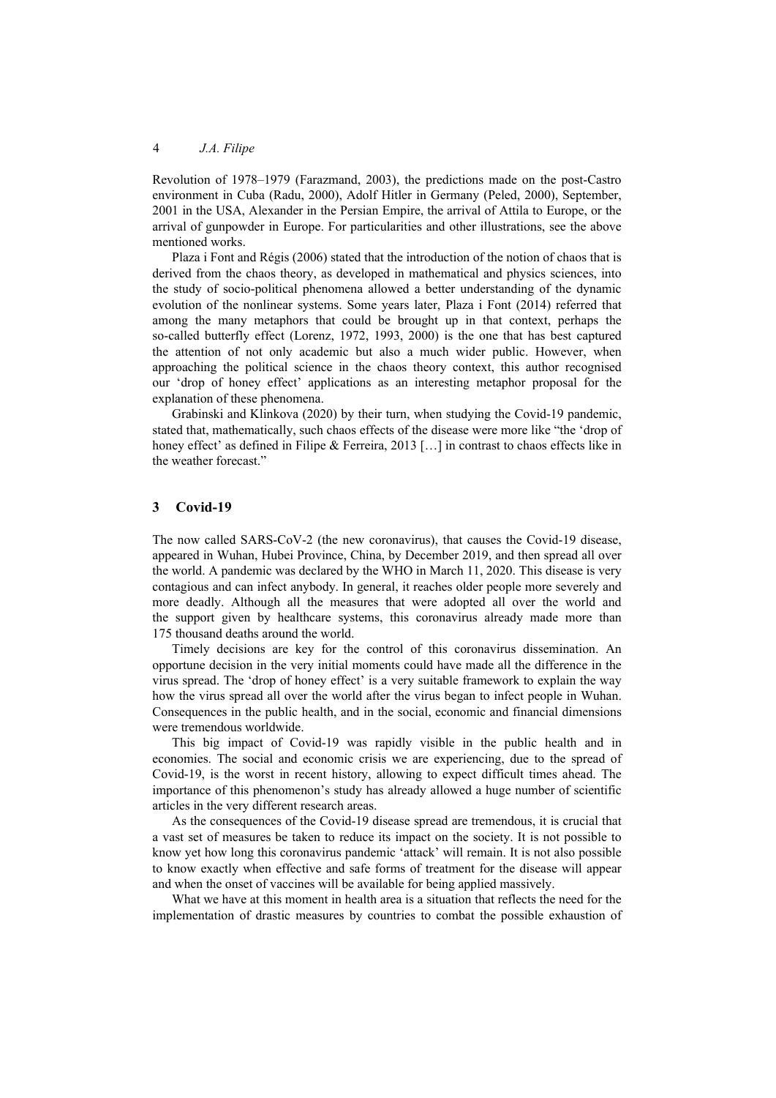Revolution of 1978–1979 (Farazmand, 2003), the predictions made on the post-Castro environment in Cuba (Radu, 2000), Adolf Hitler in Germany (Peled, 2000), September, 2001 in the USA, Alexander in the Persian Empire, the arrival of Attila to Europe, or the arrival of gunpowder in Europe. For particularities and other illustrations, see the above mentioned works.

Plaza i Font and Régis (2006) stated that the introduction of the notion of chaos that is derived from the chaos theory, as developed in mathematical and physics sciences, into the study of socio-political phenomena allowed a better understanding of the dynamic evolution of the nonlinear systems. Some years later, Plaza i Font (2014) referred that among the many metaphors that could be brought up in that context, perhaps the so-called butterfly effect (Lorenz, 1972, 1993, 2000) is the one that has best captured the attention of not only academic but also a much wider public. However, when approaching the political science in the chaos theory context, this author recognised our 'drop of honey effect' applications as an interesting metaphor proposal for the explanation of these phenomena.

Grabinski and Klinkova (2020) by their turn, when studying the Covid-19 pandemic, stated that, mathematically, such chaos effects of the disease were more like "the 'drop of honey effect' as defined in Filipe & Ferreira, 2013 [...] in contrast to chaos effects like in the weather forecast."

#### **3 Covid-19**

The now called SARS-CoV-2 (the new coronavirus), that causes the Covid-19 disease, appeared in Wuhan, Hubei Province, China, by December 2019, and then spread all over the world. A pandemic was declared by the WHO in March 11, 2020. This disease is very contagious and can infect anybody. In general, it reaches older people more severely and more deadly. Although all the measures that were adopted all over the world and the support given by healthcare systems, this coronavirus already made more than 175 thousand deaths around the world.

Timely decisions are key for the control of this coronavirus dissemination. An opportune decision in the very initial moments could have made all the difference in the virus spread. The 'drop of honey effect' is a very suitable framework to explain the way how the virus spread all over the world after the virus began to infect people in Wuhan. Consequences in the public health, and in the social, economic and financial dimensions were tremendous worldwide.

This big impact of Covid-19 was rapidly visible in the public health and in economies. The social and economic crisis we are experiencing, due to the spread of Covid-19, is the worst in recent history, allowing to expect difficult times ahead. The importance of this phenomenon's study has already allowed a huge number of scientific articles in the very different research areas.

As the consequences of the Covid-19 disease spread are tremendous, it is crucial that a vast set of measures be taken to reduce its impact on the society. It is not possible to know yet how long this coronavirus pandemic 'attack' will remain. It is not also possible to know exactly when effective and safe forms of treatment for the disease will appear and when the onset of vaccines will be available for being applied massively.

What we have at this moment in health area is a situation that reflects the need for the implementation of drastic measures by countries to combat the possible exhaustion of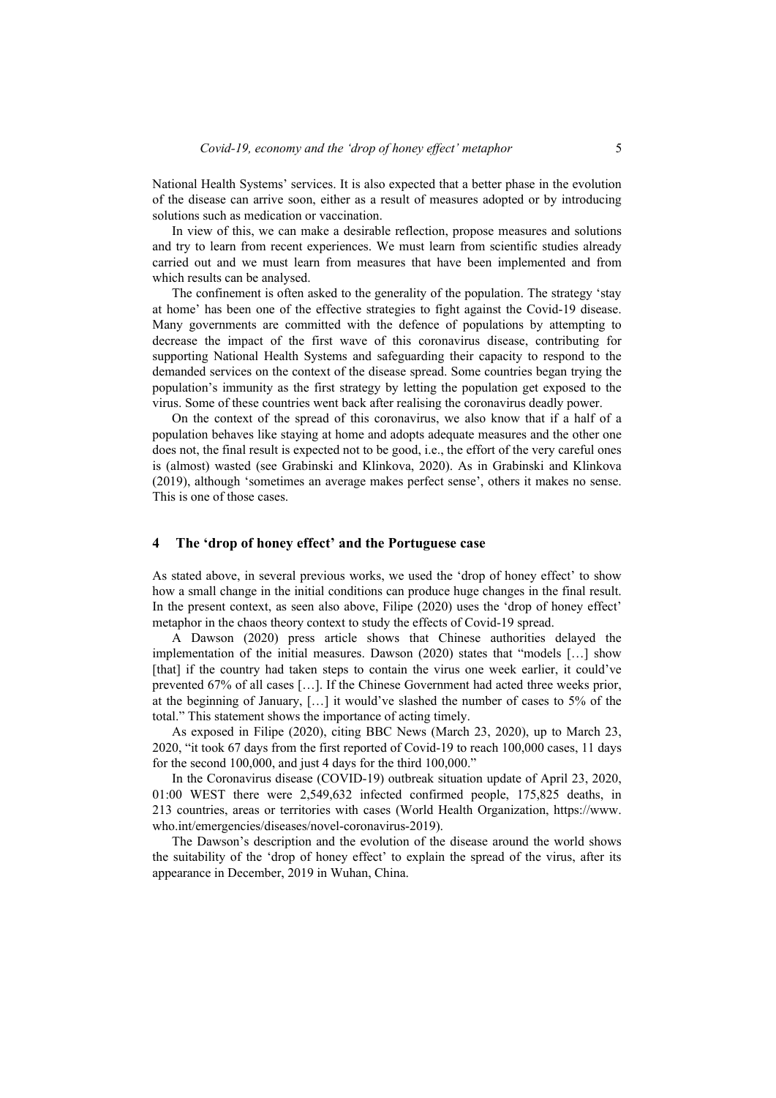National Health Systems' services. It is also expected that a better phase in the evolution of the disease can arrive soon, either as a result of measures adopted or by introducing solutions such as medication or vaccination.

In view of this, we can make a desirable reflection, propose measures and solutions and try to learn from recent experiences. We must learn from scientific studies already carried out and we must learn from measures that have been implemented and from which results can be analysed.

The confinement is often asked to the generality of the population. The strategy 'stay at home' has been one of the effective strategies to fight against the Covid-19 disease. Many governments are committed with the defence of populations by attempting to decrease the impact of the first wave of this coronavirus disease, contributing for supporting National Health Systems and safeguarding their capacity to respond to the demanded services on the context of the disease spread. Some countries began trying the population's immunity as the first strategy by letting the population get exposed to the virus. Some of these countries went back after realising the coronavirus deadly power.

On the context of the spread of this coronavirus, we also know that if a half of a population behaves like staying at home and adopts adequate measures and the other one does not, the final result is expected not to be good, i.e., the effort of the very careful ones is (almost) wasted (see Grabinski and Klinkova, 2020). As in Grabinski and Klinkova (2019), although 'sometimes an average makes perfect sense', others it makes no sense. This is one of those cases.

#### **4 The 'drop of honey effect' and the Portuguese case**

As stated above, in several previous works, we used the 'drop of honey effect' to show how a small change in the initial conditions can produce huge changes in the final result. In the present context, as seen also above, Filipe (2020) uses the 'drop of honey effect' metaphor in the chaos theory context to study the effects of Covid-19 spread.

A Dawson (2020) press article shows that Chinese authorities delayed the implementation of the initial measures. Dawson (2020) states that "models […] show [that] if the country had taken steps to contain the virus one week earlier, it could've prevented 67% of all cases […]. If the Chinese Government had acted three weeks prior, at the beginning of January, […] it would've slashed the number of cases to 5% of the total." This statement shows the importance of acting timely.

As exposed in Filipe (2020), citing BBC News (March 23, 2020), up to March 23, 2020, "it took 67 days from the first reported of Covid-19 to reach 100,000 cases, 11 days for the second 100,000, and just 4 days for the third 100,000."

In the Coronavirus disease (COVID-19) outbreak situation update of April 23, 2020, 01:00 WEST there were 2,549,632 infected confirmed people, 175,825 deaths, in 213 countries, areas or territories with cases (World Health Organization, https://www. who.int/emergencies/diseases/novel-coronavirus-2019).

The Dawson's description and the evolution of the disease around the world shows the suitability of the 'drop of honey effect' to explain the spread of the virus, after its appearance in December, 2019 in Wuhan, China.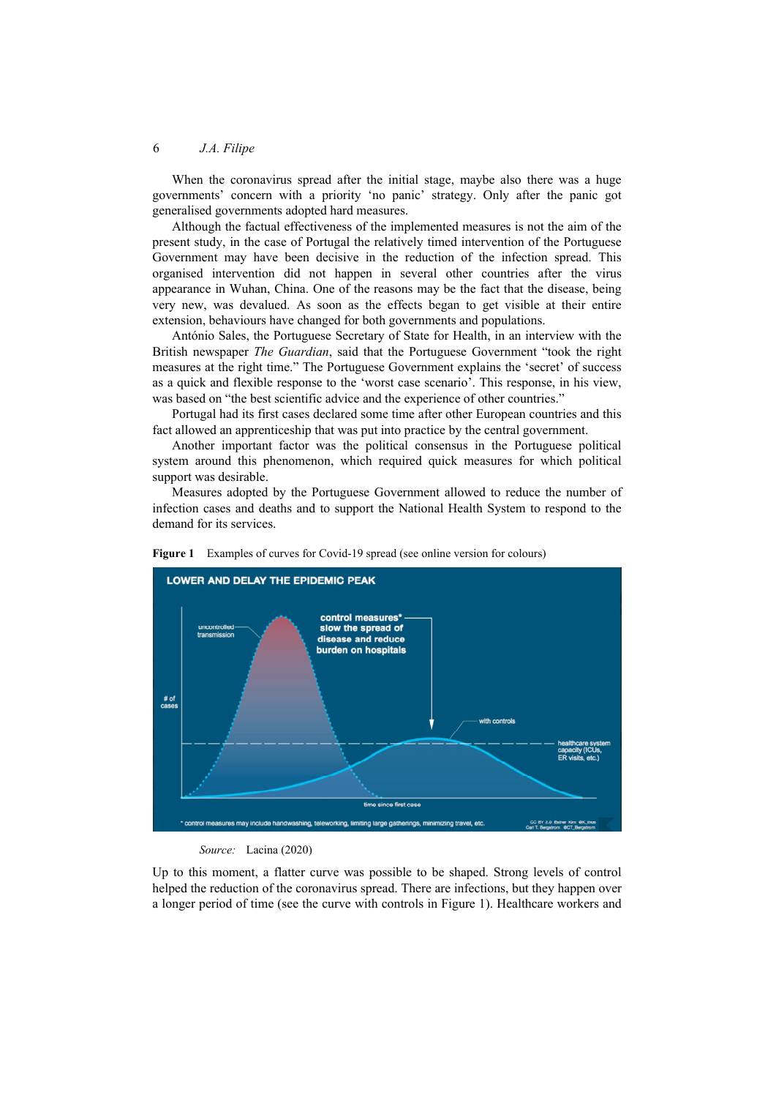When the coronavirus spread after the initial stage, maybe also there was a huge governments' concern with a priority 'no panic' strategy. Only after the panic got generalised governments adopted hard measures.

Although the factual effectiveness of the implemented measures is not the aim of the present study, in the case of Portugal the relatively timed intervention of the Portuguese Government may have been decisive in the reduction of the infection spread. This organised intervention did not happen in several other countries after the virus appearance in Wuhan, China. One of the reasons may be the fact that the disease, being very new, was devalued. As soon as the effects began to get visible at their entire extension, behaviours have changed for both governments and populations.

António Sales, the Portuguese Secretary of State for Health, in an interview with the British newspaper *The Guardian*, said that the Portuguese Government "took the right measures at the right time." The Portuguese Government explains the 'secret' of success as a quick and flexible response to the 'worst case scenario'. This response, in his view, was based on "the best scientific advice and the experience of other countries."

Portugal had its first cases declared some time after other European countries and this fact allowed an apprenticeship that was put into practice by the central government.

Another important factor was the political consensus in the Portuguese political system around this phenomenon, which required quick measures for which political support was desirable.

Measures adopted by the Portuguese Government allowed to reduce the number of infection cases and deaths and to support the National Health System to respond to the demand for its services.





Up to this moment, a flatter curve was possible to be shaped. Strong levels of control helped the reduction of the coronavirus spread. There are infections, but they happen over a longer period of time (see the curve with controls in Figure 1). Healthcare workers and

*Source:* Lacina (2020)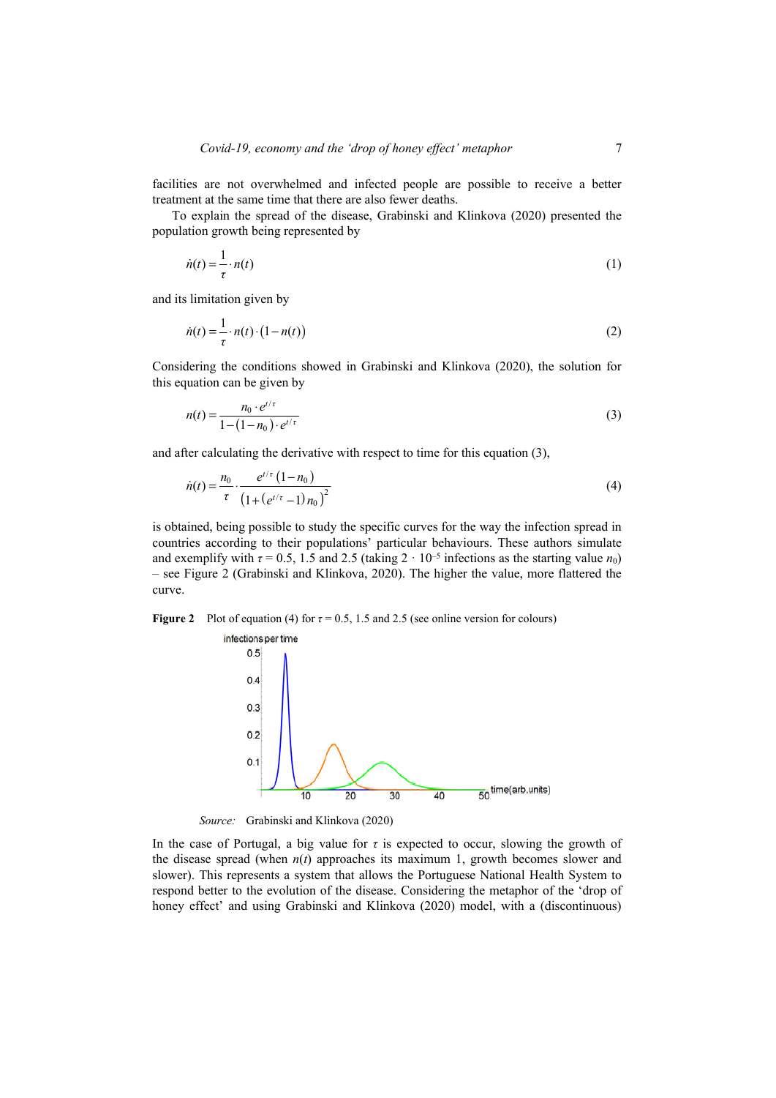facilities are not overwhelmed and infected people are possible to receive a better treatment at the same time that there are also fewer deaths.

To explain the spread of the disease, Grabinski and Klinkova (2020) presented the population growth being represented by

$$
\dot{n}(t) = \frac{1}{\tau} \cdot n(t) \tag{1}
$$

and its limitation given by

$$
\dot{n}(t) = \frac{1}{\tau} \cdot n(t) \cdot (1 - n(t))
$$
\n(2)

Considering the conditions showed in Grabinski and Klinkova (2020), the solution for this equation can be given by

$$
n(t) = \frac{n_0 \cdot e^{t/\tau}}{1 - (1 - n_0) \cdot e^{t/\tau}}
$$
(3)

and after calculating the derivative with respect to time for this equation (3),

$$
\dot{n}(t) = \frac{n_0}{\tau} \cdot \frac{e^{t/\tau} (1 - n_0)}{(1 + (e^{t/\tau} - 1) n_0)^2}
$$
(4)

is obtained, being possible to study the specific curves for the way the infection spread in countries according to their populations' particular behaviours. These authors simulate and exemplify with  $\tau = 0.5$ , 1.5 and 2.5 (taking  $2 \cdot 10^{-5}$  infections as the starting value  $n_0$ ) – see Figure 2 (Grabinski and Klinkova, 2020). The higher the value, more flattered the curve.

**Figure 2** Plot of equation (4) for  $\tau = 0.5$ , 1.5 and 2.5 (see online version for colours)



*Source:* Grabinski and Klinkova (2020)

In the case of Portugal, a big value for  $\tau$  is expected to occur, slowing the growth of the disease spread (when  $n(t)$  approaches its maximum 1, growth becomes slower and slower). This represents a system that allows the Portuguese National Health System to respond better to the evolution of the disease. Considering the metaphor of the 'drop of honey effect' and using Grabinski and Klinkova (2020) model, with a (discontinuous)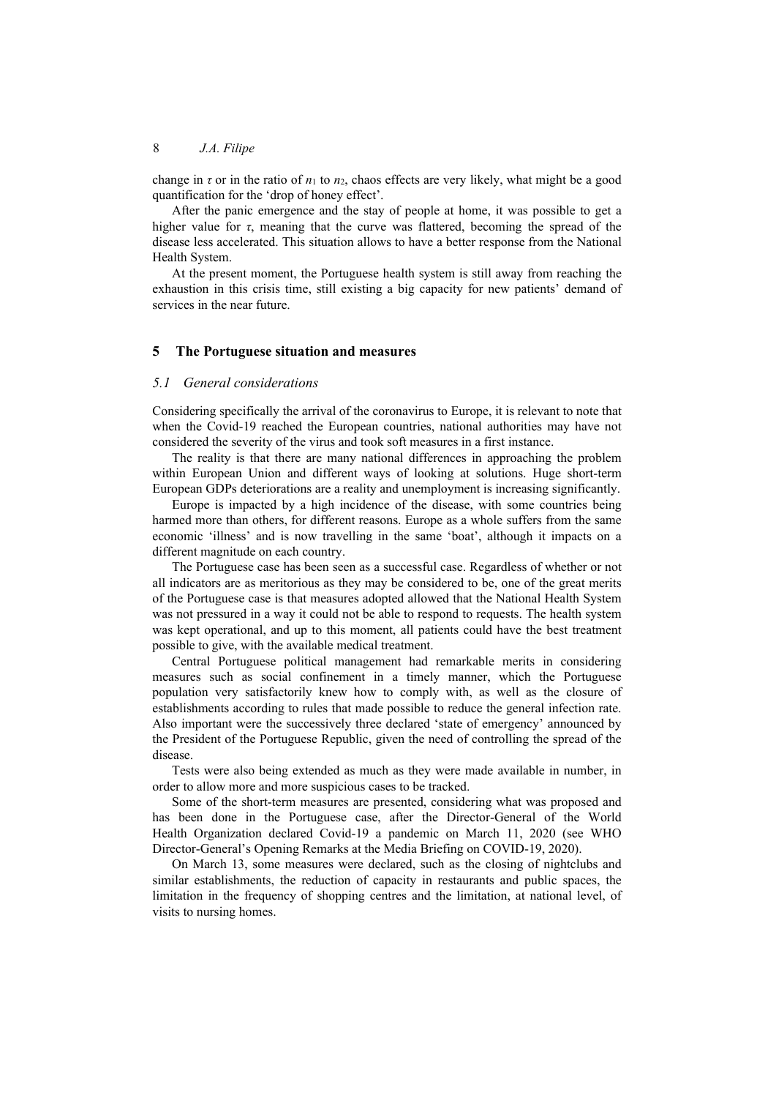change in  $\tau$  or in the ratio of  $n_1$  to  $n_2$ , chaos effects are very likely, what might be a good quantification for the 'drop of honey effect'.

After the panic emergence and the stay of people at home, it was possible to get a higher value for *τ*, meaning that the curve was flattered, becoming the spread of the disease less accelerated. This situation allows to have a better response from the National Health System.

At the present moment, the Portuguese health system is still away from reaching the exhaustion in this crisis time, still existing a big capacity for new patients' demand of services in the near future.

#### **5 The Portuguese situation and measures**

#### *5.1 General considerations*

Considering specifically the arrival of the coronavirus to Europe, it is relevant to note that when the Covid-19 reached the European countries, national authorities may have not considered the severity of the virus and took soft measures in a first instance.

The reality is that there are many national differences in approaching the problem within European Union and different ways of looking at solutions. Huge short-term European GDPs deteriorations are a reality and unemployment is increasing significantly.

Europe is impacted by a high incidence of the disease, with some countries being harmed more than others, for different reasons. Europe as a whole suffers from the same economic 'illness' and is now travelling in the same 'boat', although it impacts on a different magnitude on each country.

The Portuguese case has been seen as a successful case. Regardless of whether or not all indicators are as meritorious as they may be considered to be, one of the great merits of the Portuguese case is that measures adopted allowed that the National Health System was not pressured in a way it could not be able to respond to requests. The health system was kept operational, and up to this moment, all patients could have the best treatment possible to give, with the available medical treatment.

Central Portuguese political management had remarkable merits in considering measures such as social confinement in a timely manner, which the Portuguese population very satisfactorily knew how to comply with, as well as the closure of establishments according to rules that made possible to reduce the general infection rate. Also important were the successively three declared 'state of emergency' announced by the President of the Portuguese Republic, given the need of controlling the spread of the disease.

Tests were also being extended as much as they were made available in number, in order to allow more and more suspicious cases to be tracked.

Some of the short-term measures are presented, considering what was proposed and has been done in the Portuguese case, after the Director-General of the World Health Organization declared Covid-19 a pandemic on March 11, 2020 (see WHO Director-General's Opening Remarks at the Media Briefing on COVID-19, 2020).

On March 13, some measures were declared, such as the closing of nightclubs and similar establishments, the reduction of capacity in restaurants and public spaces, the limitation in the frequency of shopping centres and the limitation, at national level, of visits to nursing homes.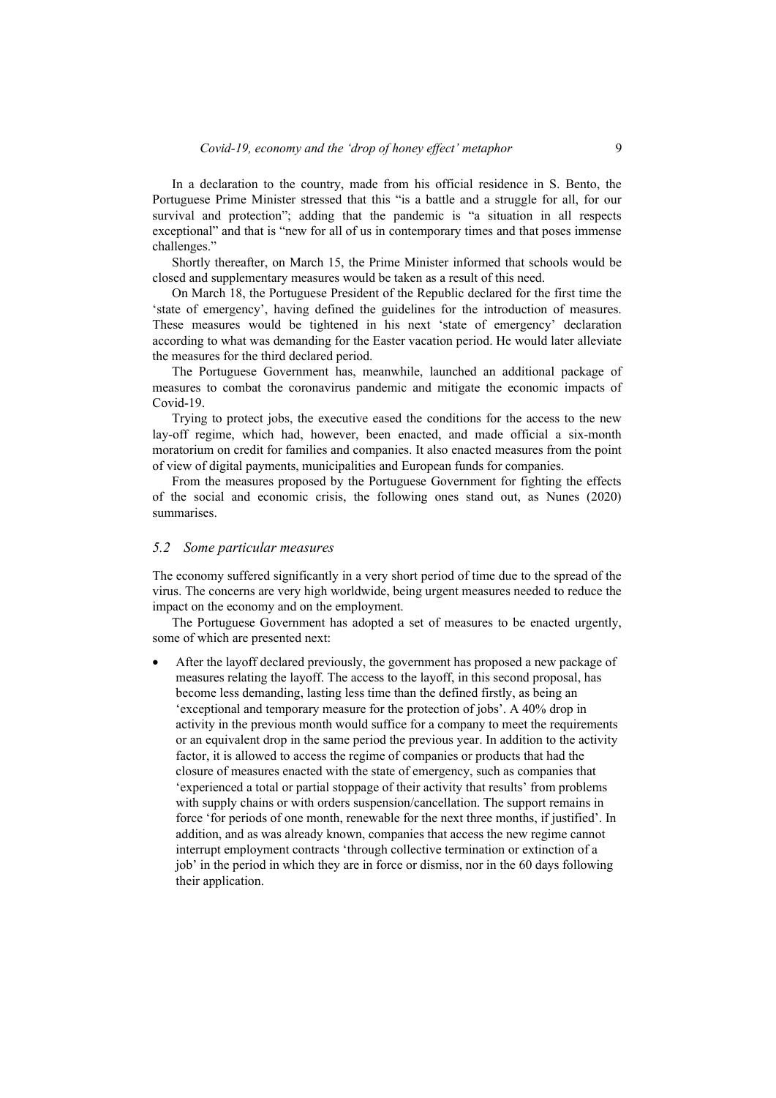In a declaration to the country, made from his official residence in S. Bento, the Portuguese Prime Minister stressed that this "is a battle and a struggle for all, for our survival and protection"; adding that the pandemic is "a situation in all respects exceptional" and that is "new for all of us in contemporary times and that poses immense challenges."

Shortly thereafter, on March 15, the Prime Minister informed that schools would be closed and supplementary measures would be taken as a result of this need.

On March 18, the Portuguese President of the Republic declared for the first time the 'state of emergency', having defined the guidelines for the introduction of measures. These measures would be tightened in his next 'state of emergency' declaration according to what was demanding for the Easter vacation period. He would later alleviate the measures for the third declared period.

The Portuguese Government has, meanwhile, launched an additional package of measures to combat the coronavirus pandemic and mitigate the economic impacts of Covid-19.

Trying to protect jobs, the executive eased the conditions for the access to the new lay-off regime, which had, however, been enacted, and made official a six-month moratorium on credit for families and companies. It also enacted measures from the point of view of digital payments, municipalities and European funds for companies.

From the measures proposed by the Portuguese Government for fighting the effects of the social and economic crisis, the following ones stand out, as Nunes (2020) summarises.

#### *5.2 Some particular measures*

The economy suffered significantly in a very short period of time due to the spread of the virus. The concerns are very high worldwide, being urgent measures needed to reduce the impact on the economy and on the employment.

The Portuguese Government has adopted a set of measures to be enacted urgently, some of which are presented next:

• After the layoff declared previously, the government has proposed a new package of measures relating the layoff. The access to the layoff, in this second proposal, has become less demanding, lasting less time than the defined firstly, as being an 'exceptional and temporary measure for the protection of jobs'. A 40% drop in activity in the previous month would suffice for a company to meet the requirements or an equivalent drop in the same period the previous year. In addition to the activity factor, it is allowed to access the regime of companies or products that had the closure of measures enacted with the state of emergency, such as companies that 'experienced a total or partial stoppage of their activity that results' from problems with supply chains or with orders suspension/cancellation. The support remains in force 'for periods of one month, renewable for the next three months, if justified'. In addition, and as was already known, companies that access the new regime cannot interrupt employment contracts 'through collective termination or extinction of a job' in the period in which they are in force or dismiss, nor in the 60 days following their application.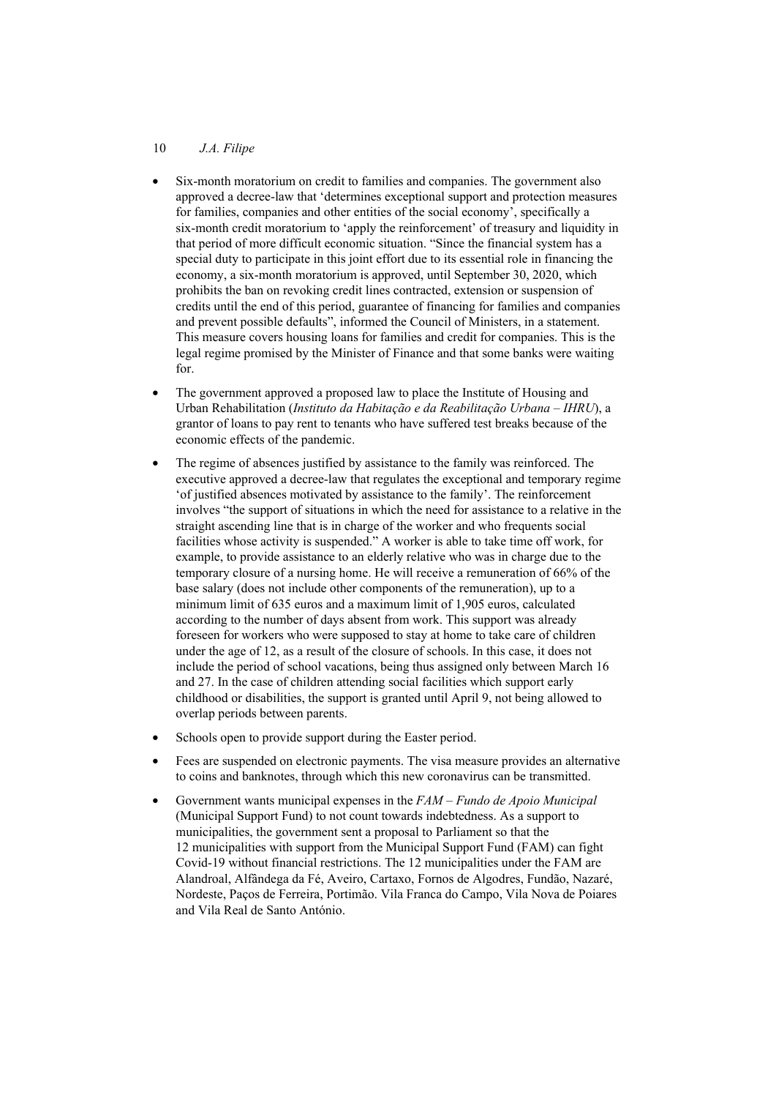#### 10 *J.A. Filipe*

- Six-month moratorium on credit to families and companies. The government also approved a decree-law that 'determines exceptional support and protection measures for families, companies and other entities of the social economy', specifically a six-month credit moratorium to 'apply the reinforcement' of treasury and liquidity in that period of more difficult economic situation. "Since the financial system has a special duty to participate in this joint effort due to its essential role in financing the economy, a six-month moratorium is approved, until September 30, 2020, which prohibits the ban on revoking credit lines contracted, extension or suspension of credits until the end of this period, guarantee of financing for families and companies and prevent possible defaults", informed the Council of Ministers, in a statement. This measure covers housing loans for families and credit for companies. This is the legal regime promised by the Minister of Finance and that some banks were waiting for.
- The government approved a proposed law to place the Institute of Housing and Urban Rehabilitation (*Instituto da Habitação e da Reabilitação Urbana – IHRU*), a grantor of loans to pay rent to tenants who have suffered test breaks because of the economic effects of the pandemic.
- The regime of absences justified by assistance to the family was reinforced. The executive approved a decree-law that regulates the exceptional and temporary regime 'of justified absences motivated by assistance to the family'. The reinforcement involves "the support of situations in which the need for assistance to a relative in the straight ascending line that is in charge of the worker and who frequents social facilities whose activity is suspended." A worker is able to take time off work, for example, to provide assistance to an elderly relative who was in charge due to the temporary closure of a nursing home. He will receive a remuneration of 66% of the base salary (does not include other components of the remuneration), up to a minimum limit of 635 euros and a maximum limit of 1,905 euros, calculated according to the number of days absent from work. This support was already foreseen for workers who were supposed to stay at home to take care of children under the age of 12, as a result of the closure of schools. In this case, it does not include the period of school vacations, being thus assigned only between March 16 and 27. In the case of children attending social facilities which support early childhood or disabilities, the support is granted until April 9, not being allowed to overlap periods between parents.
- Schools open to provide support during the Easter period.
- Fees are suspended on electronic payments. The visa measure provides an alternative to coins and banknotes, through which this new coronavirus can be transmitted.
- Government wants municipal expenses in the *FAM Fundo de Apoio Municipal* (Municipal Support Fund) to not count towards indebtedness. As a support to municipalities, the government sent a proposal to Parliament so that the 12 municipalities with support from the Municipal Support Fund (FAM) can fight Covid-19 without financial restrictions. The 12 municipalities under the FAM are Alandroal, Alfândega da Fé, Aveiro, Cartaxo, Fornos de Algodres, Fundão, Nazaré, Nordeste, Paços de Ferreira, Portimão. Vila Franca do Campo, Vila Nova de Poiares and Vila Real de Santo António.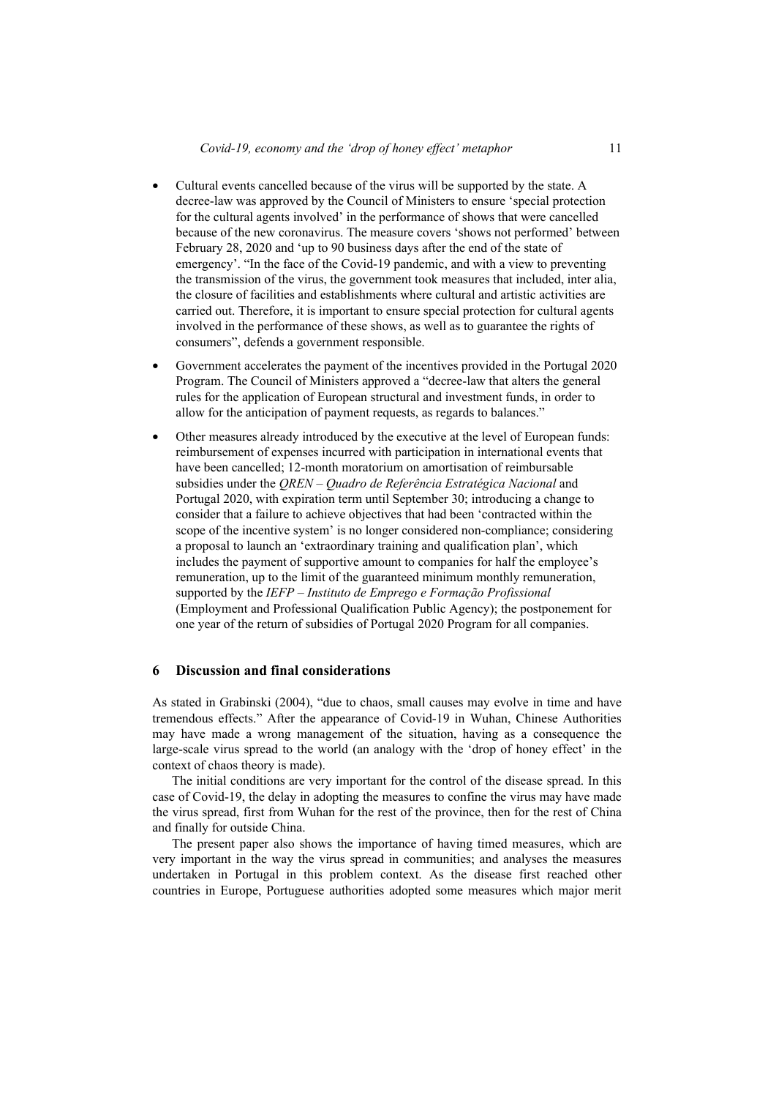- Cultural events cancelled because of the virus will be supported by the state. A decree-law was approved by the Council of Ministers to ensure 'special protection for the cultural agents involved' in the performance of shows that were cancelled because of the new coronavirus. The measure covers 'shows not performed' between February 28, 2020 and 'up to 90 business days after the end of the state of emergency'. "In the face of the Covid-19 pandemic, and with a view to preventing the transmission of the virus, the government took measures that included, inter alia, the closure of facilities and establishments where cultural and artistic activities are carried out. Therefore, it is important to ensure special protection for cultural agents involved in the performance of these shows, as well as to guarantee the rights of consumers", defends a government responsible.
- Government accelerates the payment of the incentives provided in the Portugal 2020 Program. The Council of Ministers approved a "decree-law that alters the general rules for the application of European structural and investment funds, in order to allow for the anticipation of payment requests, as regards to balances."
- Other measures already introduced by the executive at the level of European funds: reimbursement of expenses incurred with participation in international events that have been cancelled; 12-month moratorium on amortisation of reimbursable subsidies under the *QREN – Quadro de Referência Estratégica Nacional* and Portugal 2020, with expiration term until September 30; introducing a change to consider that a failure to achieve objectives that had been 'contracted within the scope of the incentive system' is no longer considered non-compliance; considering a proposal to launch an 'extraordinary training and qualification plan', which includes the payment of supportive amount to companies for half the employee's remuneration, up to the limit of the guaranteed minimum monthly remuneration, supported by the *IEFP – Instituto de Emprego e Formação Profissional* (Employment and Professional Qualification Public Agency); the postponement for one year of the return of subsidies of Portugal 2020 Program for all companies.

#### **6 Discussion and final considerations**

As stated in Grabinski (2004), "due to chaos, small causes may evolve in time and have tremendous effects." After the appearance of Covid-19 in Wuhan, Chinese Authorities may have made a wrong management of the situation, having as a consequence the large-scale virus spread to the world (an analogy with the 'drop of honey effect' in the context of chaos theory is made).

The initial conditions are very important for the control of the disease spread. In this case of Covid-19, the delay in adopting the measures to confine the virus may have made the virus spread, first from Wuhan for the rest of the province, then for the rest of China and finally for outside China.

The present paper also shows the importance of having timed measures, which are very important in the way the virus spread in communities; and analyses the measures undertaken in Portugal in this problem context. As the disease first reached other countries in Europe, Portuguese authorities adopted some measures which major merit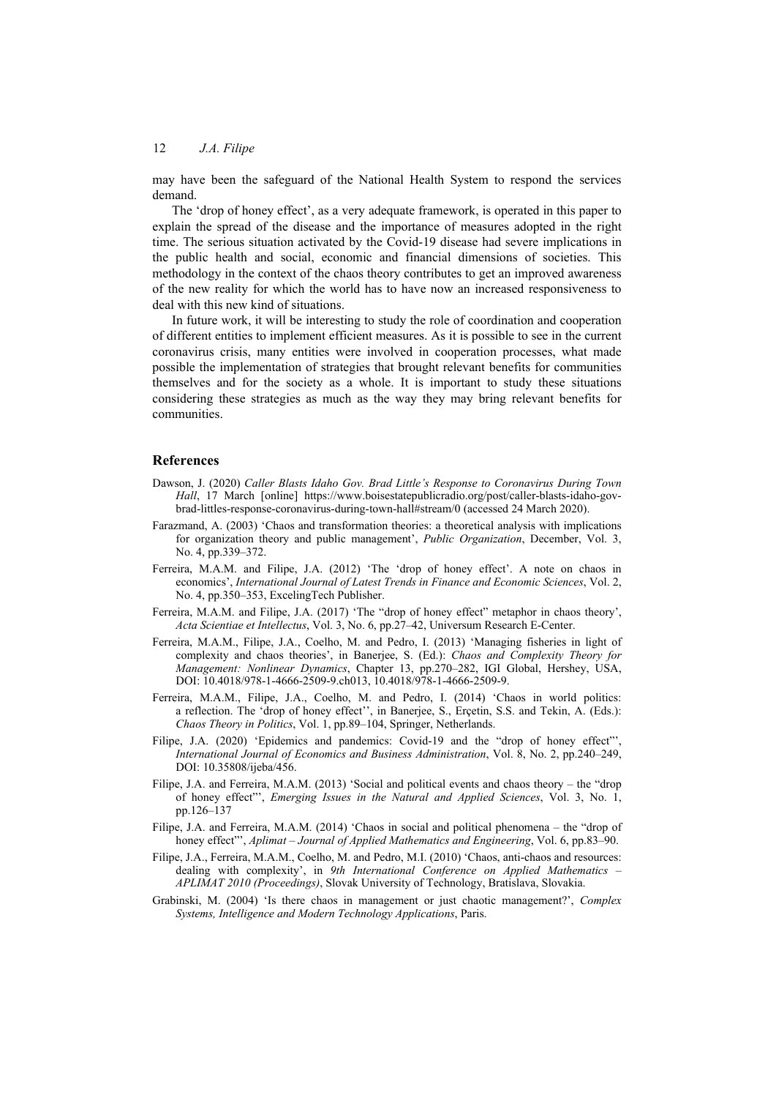may have been the safeguard of the National Health System to respond the services demand.

The 'drop of honey effect', as a very adequate framework, is operated in this paper to explain the spread of the disease and the importance of measures adopted in the right time. The serious situation activated by the Covid-19 disease had severe implications in the public health and social, economic and financial dimensions of societies. This methodology in the context of the chaos theory contributes to get an improved awareness of the new reality for which the world has to have now an increased responsiveness to deal with this new kind of situations.

In future work, it will be interesting to study the role of coordination and cooperation of different entities to implement efficient measures. As it is possible to see in the current coronavirus crisis, many entities were involved in cooperation processes, what made possible the implementation of strategies that brought relevant benefits for communities themselves and for the society as a whole. It is important to study these situations considering these strategies as much as the way they may bring relevant benefits for communities.

#### **References**

- Dawson, J. (2020) *Caller Blasts Idaho Gov. Brad Little's Response to Coronavirus During Town Hall*, 17 March [online] https://www.boisestatepublicradio.org/post/caller-blasts-idaho-govbrad-littles-response-coronavirus-during-town-hall#stream/0 (accessed 24 March 2020).
- Farazmand, A. (2003) 'Chaos and transformation theories: a theoretical analysis with implications for organization theory and public management', *Public Organization*, December, Vol. 3, No. 4, pp.339–372.
- Ferreira, M.A.M. and Filipe, J.A. (2012) 'The 'drop of honey effect'. A note on chaos in economics', *International Journal of Latest Trends in Finance and Economic Sciences*, Vol. 2, No. 4, pp.350–353, ExcelingTech Publisher.
- Ferreira, M.A.M. and Filipe, J.A. (2017) 'The "drop of honey effect" metaphor in chaos theory', *Acta Scientiae et Intellectus*, Vol. 3, No. 6, pp.27–42, Universum Research E-Center.
- Ferreira, M.A.M., Filipe, J.A., Coelho, M. and Pedro, I. (2013) 'Managing fisheries in light of complexity and chaos theories', in Banerjee, S. (Ed.): *Chaos and Complexity Theory for Management: Nonlinear Dynamics*, Chapter 13, pp.270–282, IGI Global, Hershey, USA, DOI: 10.4018/978-1-4666-2509-9.ch013, 10.4018/978-1-4666-2509-9.
- Ferreira, M.A.M., Filipe, J.A., Coelho, M. and Pedro, I. (2014) 'Chaos in world politics: a reflection. The 'drop of honey effect'', in Banerjee, S., Erçetin, S.S. and Tekin, A. (Eds.): *Chaos Theory in Politics*, Vol. 1, pp.89–104, Springer, Netherlands.
- Filipe, J.A. (2020) 'Epidemics and pandemics: Covid-19 and the "drop of honey effect"', *International Journal of Economics and Business Administration*, Vol. 8, No. 2, pp.240–249, DOI: 10.35808/ijeba/456.
- Filipe, J.A. and Ferreira, M.A.M. (2013) 'Social and political events and chaos theory the "drop of honey effect"', *Emerging Issues in the Natural and Applied Sciences*, Vol. 3, No. 1, pp.126–137
- Filipe, J.A. and Ferreira, M.A.M. (2014) 'Chaos in social and political phenomena the "drop of honey effect"', *Aplimat – Journal of Applied Mathematics and Engineering*, Vol. 6, pp.83–90.
- Filipe, J.A., Ferreira, M.A.M., Coelho, M. and Pedro, M.I. (2010) 'Chaos, anti-chaos and resources: dealing with complexity', in *9th International Conference on Applied Mathematics – APLIMAT 2010 (Proceedings)*, Slovak University of Technology, Bratislava, Slovakia.
- Grabinski, M. (2004) 'Is there chaos in management or just chaotic management?', *Complex Systems, Intelligence and Modern Technology Applications*, Paris.